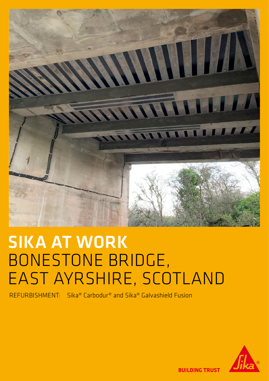

## SIKA AT WORK BONESTONE BRIDGE, EAST AYRSHIRE, SCOTLAND

REFURBISHMENT: Sika® Carbodur® and Sika® Galvashield Fusion



**BUILDING TRUST**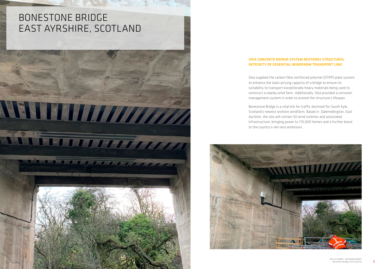## BONESTONE BRIDGE EAST AYRSHIRE, SCOTLAND



## SIKA CONCRETE REPAIR SYSTEM RESTORES STRUCTURAL INTEGRITY OF ESSENTIAL WINDFARM TRANSPORT LINK.

Sika supplied the carbon fibre reinforced polymer (CFRP) plate system to enhance the load carrying capacity of a bridge to ensure its suitability to transport exceptionally heavy materials being used to construct a nearby wind farm. Additionally, Sika provided a corrosion management system in order to extend the structure's lifespan.

Bonestone Bridge is a vital link for traffic destined for South Kyle, Scotland's newest onshore windfarm. Based in Dalemellington, East Ayrshire, the site will contain 50 wind turbines and associated infrastructure, bringing power to 170,000 homes and a further boost to the country's net-zero ambitions.